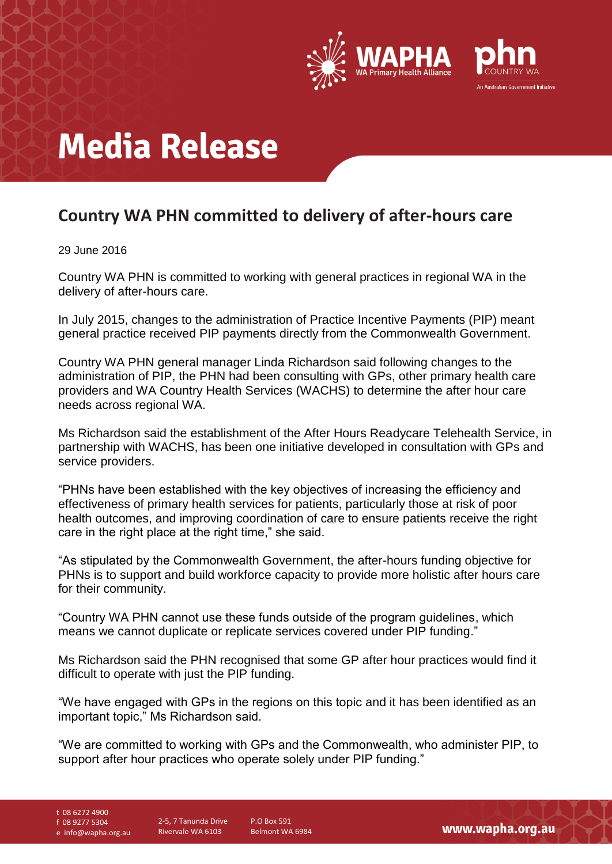

# **Media Release**

### **Country WA PHN committed to delivery of after-hours care**

### 29 June 2016

Country WA PHN is committed to working with general practices in regional WA in the delivery of after-hours care.

In July 2015, changes to the administration of Practice Incentive Payments (PIP) meant general practice received PIP payments directly from the Commonwealth Government.

Country WA PHN general manager Linda Richardson said following changes to the administration of PIP, the PHN had been consulting with GPs, other primary health care providers and WA Country Health Services (WACHS) to determine the after hour care needs across regional WA.

Ms Richardson said the establishment of the After Hours Readycare Telehealth Service, in partnership with WACHS, has been one initiative developed in consultation with GPs and service providers.

"PHNs have been established with the key objectives of increasing the efficiency and effectiveness of primary health services for patients, particularly those at risk of poor health outcomes, and improving coordination of care to ensure patients receive the right care in the right place at the right time," she said.

"As stipulated by the Commonwealth Government, the after-hours funding objective for PHNs is to support and build workforce capacity to provide more holistic after hours care for their community.

"Country WA PHN cannot use these funds outside of the program guidelines, which means we cannot duplicate or replicate services covered under PIP funding."

Ms Richardson said the PHN recognised that some GP after hour practices would find it difficult to operate with just the PIP funding.

"We have engaged with GPs in the regions on this topic and it has been identified as an important topic," Ms Richardson said.

"We are committed to working with GPs and the Commonwealth, who administer PIP, to support after hour practices who operate solely under PIP funding."

t 08 6272 4900

f 08 9277 5304

e info@wapha.org.au